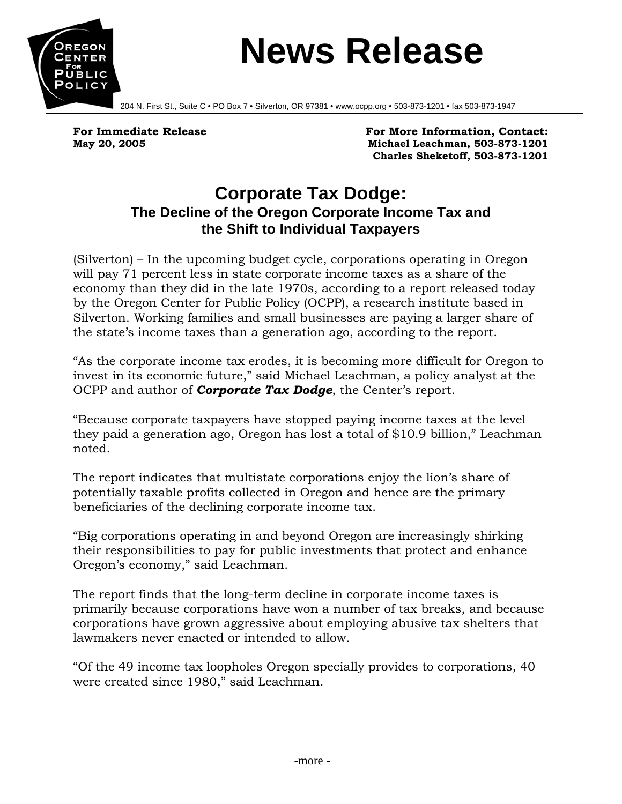

## **News Release**

204 N. First St., Suite C • PO Box 7 • Silverton, OR 97381 • www.ocpp.org • 503-873-1201 • fax 503-873-1947

For Immediate Release **For More Information, Contact:**  $\blacksquare$ **May 20, 2005 Michael Leachman, 503-873-1201 Charles Sheketoff, 503-873-1201** 

## **Corporate Tax Dodge: The Decline of the Oregon Corporate Income Tax and the Shift to Individual Taxpayers**

(Silverton) – In the upcoming budget cycle, corporations operating in Oregon will pay 71 percent less in state corporate income taxes as a share of the economy than they did in the late 1970s, according to a report released today by the Oregon Center for Public Policy (OCPP), a research institute based in Silverton. Working families and small businesses are paying a larger share of the state's income taxes than a generation ago, according to the report.

"As the corporate income tax erodes, it is becoming more difficult for Oregon to invest in its economic future," said Michael Leachman, a policy analyst at the OCPP and author of *Corporate Tax Dodge*, the Center's report.

"Because corporate taxpayers have stopped paying income taxes at the level they paid a generation ago, Oregon has lost a total of \$10.9 billion," Leachman noted.

The report indicates that multistate corporations enjoy the lion's share of potentially taxable profits collected in Oregon and hence are the primary beneficiaries of the declining corporate income tax.

"Big corporations operating in and beyond Oregon are increasingly shirking their responsibilities to pay for public investments that protect and enhance Oregon's economy," said Leachman.

The report finds that the long-term decline in corporate income taxes is primarily because corporations have won a number of tax breaks, and because corporations have grown aggressive about employing abusive tax shelters that lawmakers never enacted or intended to allow.

"Of the 49 income tax loopholes Oregon specially provides to corporations, 40 were created since 1980," said Leachman.